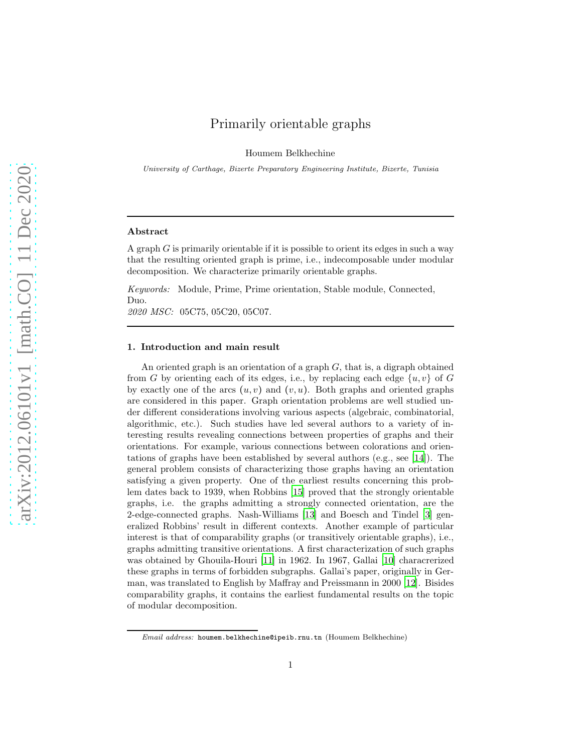# Primarily orientable graphs

Houmem Belkhechine

University of Carthage, Bizerte Preparatory Engineering Institute, Bizerte, Tunisia

## Abstract

A graph  $G$  is primarily orientable if it is possible to orient its edges in such a way that the resulting oriented graph is prime, i.e., indecomposable under modular decomposition. We characterize primarily orientable graphs.

*Keywords:* Module, Prime, Prime orientation, Stable module, Connected, Duo. *2020 MSC:* 05C75, 05C20, 05C07.

## 1. Introduction and main result

An oriented graph is an orientation of a graph  $G$ , that is, a digraph obtained from G by orienting each of its edges, i.e., by replacing each edge  $\{u, v\}$  of G by exactly one of the arcs  $(u, v)$  and  $(v, u)$ . Both graphs and oriented graphs are considered in this paper. Graph orientation problems are well studied under different considerations involving various aspects (algebraic, combinatorial, algorithmic, etc.). Such studies have led several authors to a variety of interesting results revealing connections between properties of graphs and their orientations. For example, various connections between colorations and orientations of graphs have been established by several authors (e.g., see [\[14](#page-11-0)]). The general problem consists of characterizing those graphs having an orientation satisfying a given property. One of the earliest results concerning this problem dates back to 1939, when Robbins [\[15](#page-11-1)] proved that the strongly orientable graphs, i.e. the graphs admitting a strongly connected orientation, are the 2-edge-connected graphs. Nash-Williams [\[13\]](#page-11-2) and Boesch and Tindel [\[3](#page-11-3)] generalized Robbins' result in different contexts. Another example of particular interest is that of comparability graphs (or transitively orientable graphs), i.e., graphs admitting transitive orientations. A first characterization of such graphs was obtained by Ghouila-Houri [\[11\]](#page-11-4) in 1962. In 1967, Gallai [\[10\]](#page-11-5) characrerized these graphs in terms of forbidden subgraphs. Gallai's paper, originally in German, was translated to English by Maffray and Preissmann in 2000 [\[12](#page-11-6)]. Bisides comparability graphs, it contains the earliest fundamental results on the topic of modular decomposition.

Email address: houmem.belkhechine@ipeib.rnu.tn (Houmem Belkhechine)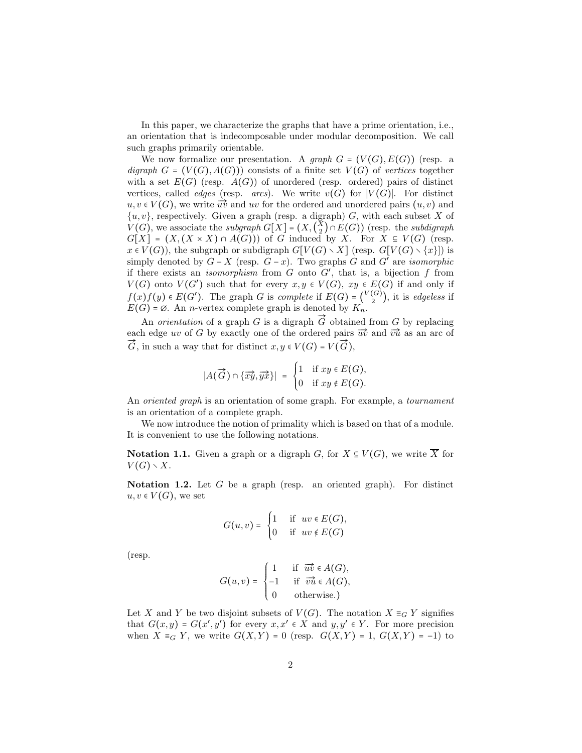In this paper, we characterize the graphs that have a prime orientation, i.e., an orientation that is indecomposable under modular decomposition. We call such graphs primarily orientable.

We now formalize our presentation. A *graph*  $G = (V(G), E(G))$  (resp. a  $digraph G = (V(G), A(G))$  consists of a finite set  $V(G)$  of *vertices* together with a set  $E(G)$  (resp.  $A(G)$ ) of unordered (resp. ordered) pairs of distinct vertices, called *edges* (resp. *arcs*). We write  $v(G)$  for  $|V(G)|$ . For distinct  $u, v \in V(G)$ , we write  $\overrightarrow{uv}$  and uv for the ordered and unordered pairs  $(u, v)$  and  ${u, v}$ , respectively. Given a graph (resp. a digraph) G, with each subset X of  $V(G)$ , we associate the *subgraph*  $G[X] = (X, {X \choose 2} \cap E(G))$  (resp. the *subdigraph*  $G[X] = (X, (X \times X) \cap A(G)))$  of G induced by X. For  $X \subseteq V(G)$  (resp.  $x \in V(G)$ , the subgraph or subdigraph  $G[V(G) \setminus X]$  (resp.  $G[V(G) \setminus \{x\}]$ ) is simply denoted by  $G - X$  (resp.  $G - x$ ). Two graphs G and G' are *isomorphic* if there exists an *isomorphism* from  $G$  onto  $G'$ , that is, a bijection  $f$  from  $V(G)$  onto  $V(G')$  such that for every  $x, y \in V(G)$ ,  $xy \in E(G)$  if and only if  $f(x)f(y) \in E(G')$ . The graph G is *complete* if  $E(G) = {V(G) \choose 2}$ , it is *edgeless* if  $E(G) = \emptyset$ . An *n*-vertex complete graph is denoted by  $K_n$ .

An *orientation* of a graph G is a digraph  $\tilde{G}$  obtained from G by replacing each edge uv of G by exactly one of the ordered pairs  $\vec{uv}$  and  $\vec{vu}$  as an arc of Each edge *av* of  $G$  by exactly one of the ordered pairs  $\vec{G}$ , in such a way that for distinct  $x, y \in V(G) = V(\vec{G})$ ,

$$
|A(\overrightarrow{G}) \cap {\overleftrightarrow{xy}, \overrightarrow{yx}}| = \begin{cases} 1 & \text{if } xy \in E(G), \\ 0 & \text{if } xy \notin E(G). \end{cases}
$$

An *oriented graph* is an orientation of some graph. For example, a *tournament* is an orientation of a complete graph.

We now introduce the notion of primality which is based on that of a module. It is convenient to use the following notations.

**Notation 1.1.** Given a graph or a digraph G, for  $X \subseteq V(G)$ , we write  $\overline{X}$  for  $V(G) \setminus X$ .

<span id="page-1-0"></span>Notation 1.2. Let G be a graph (resp. an oriented graph). For distinct  $u, v \in V(G)$ , we set

$$
G(u,v) = \begin{cases} 1 & \text{if } uv \in E(G), \\ 0 & \text{if } uv \notin E(G) \end{cases}
$$

(resp.

$$
G(u, v) = \begin{cases} 1 & \text{if } \overrightarrow{uv} \in A(G), \\ -1 & \text{if } \overrightarrow{vu} \in A(G), \\ 0 & \text{otherwise.} \end{cases}
$$

Let X and Y be two disjoint subsets of  $V(G)$ . The notation  $X \equiv_G Y$  signifies that  $G(x, y) = G(x', y')$  for every  $x, x' \in X$  and  $y, y' \in Y$ . For more precision when  $X \equiv_G Y$ , we write  $G(X,Y) = 0$  (resp.  $G(X,Y) = 1$ ,  $G(X,Y) = -1$ ) to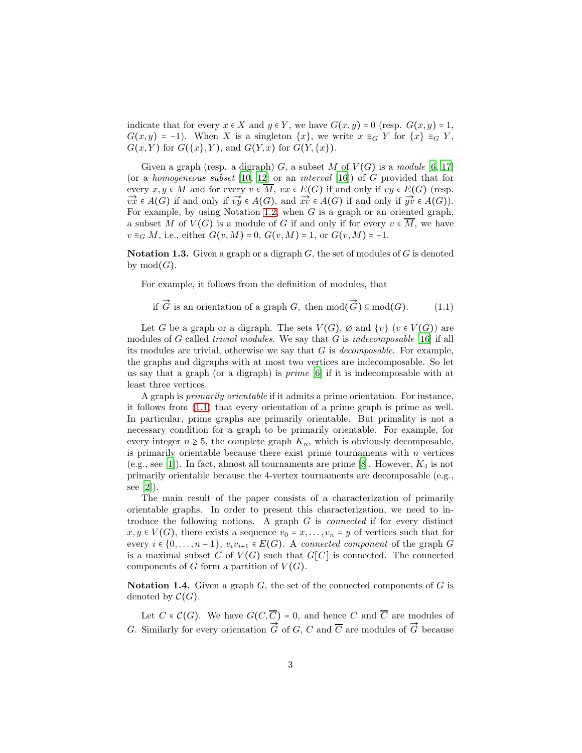indicate that for every  $x \in X$  and  $y \in Y$ , we have  $G(x, y) = 0$  (resp.  $G(x, y) = 1$ ,  $G(x, y) = -1$ ). When X is a singleton  $\{x\}$ , we write  $x \equiv_G Y$  for  $\{x\} \equiv_G Y$ ,  $G(x, Y)$  for  $G({x}, Y)$ , and  $G(Y, x)$  for  $G(Y, {x})$ .

Given a graph (resp. a digraph)  $G$ , a subset  $M$  of  $V(G)$  is a *module* [\[6,](#page-11-7) [17\]](#page-11-8) (or a *homogeneous subset* [\[10,](#page-11-5) [12\]](#page-11-6) or an *interval* [\[16\]](#page-11-9)) of G provided that for every  $x, y \in M$  and for every  $v \in \overline{M}$ ,  $vx \in E(G)$  if and only if  $vy \in E(G)$  (resp.  $\overrightarrow{vx} \in A(G)$  if and only if  $\overrightarrow{vy} \in A(G)$ , and  $\overrightarrow{xv} \in A(G)$  if and only if  $\overrightarrow{yv} \in A(G)$ ). For example, by using Notation [1.2,](#page-1-0) when  $G$  is a graph or an oriented graph, a subset M of  $V(G)$  is a module of G if and only if for every  $v \in \overline{M}$ , we have  $v \equiv_G M$ , i.e., either  $G(v, M) = 0$ ,  $G(v, M) = 1$ , or  $G(v, M) = -1$ .

**Notation 1.3.** Given a graph or a digraph  $G$ , the set of modules of  $G$  is denoted by  $mod(G)$ .

For example, it follows from the definition of modules, that

<span id="page-2-0"></span>if  $\vec{G}$  is an orientation of a graph G, then  $mod(\vec{G}) \subseteq mod(G)$ . (1.1)

Let G be a graph or a digraph. The sets  $V(G)$ ,  $\emptyset$  and  $\{v\}$  ( $v \in V(G)$ ) are modules of G called *trivial modules*. We say that G is *indecomposable* [\[16](#page-11-9)] if all its modules are trivial, otherwise we say that G is *decomposable*. For example, the graphs and digraphs with at most two vertices are indecomposable. So let us say that a graph (or a digraph) is *prime* [\[6\]](#page-11-7) if it is indecomposable with at least three vertices.

A graph is *primarily orientable* if it admits a prime orientation. For instance, it follows from [\(1.1\)](#page-2-0) that every orientation of a prime graph is prime as well. In particular, prime graphs are primarily orientable. But primality is not a necessary condition for a graph to be primarily orientable. For example, for every integer  $n \geq 5$ , the complete graph  $K_n$ , which is obviously decomposable, is primarily orientable because there exist prime tournaments with  $n$  vertices (e.g., see [\[1\]](#page-10-0)). In fact, almost all tournaments are prime [\[8\]](#page-11-10). However,  $K_4$  is not primarily orientable because the 4-vertex tournaments are decomposable (e.g., see [\[2\]](#page-11-11)).

The main result of the paper consists of a characterization of primarily orientable graphs. In order to present this characterization, we need to introduce the following notions. A graph G is *connected* if for every distinct  $x, y \in V(G)$ , there exists a sequence  $v_0 = x, \ldots, v_n = y$  of vertices such that for every  $i \in \{0, \ldots, n-1\}$ ,  $v_i v_{i+1} \in E(G)$ . A *connected component* of the graph G is a maximal subset C of  $V(G)$  such that  $G[C]$  is connected. The connected components of G form a partition of  $V(G)$ .

Notation 1.4. Given a graph  $G$ , the set of the connected components of  $G$  is denoted by  $\mathcal{C}(G)$ .

Let  $C \in \mathcal{C}(G)$ . We have  $G(C, \overline{C}) = 0$ , and hence C and  $\overline{C}$  are modules of G. Similarly for every orientation  $\vec{G}$  of  $G$ ,  $C$  and  $\overline{C}$  are modules of  $\vec{G}$  because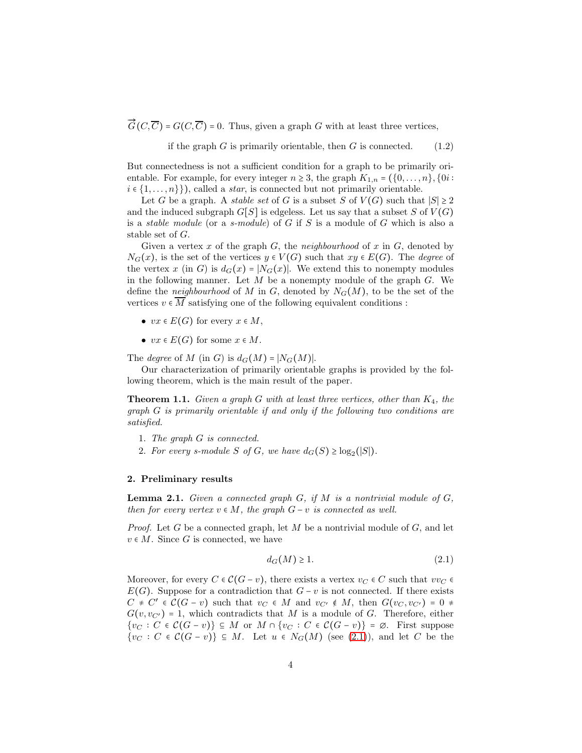$\overline{G}(C,\overline{C})$  =  $G(C,\overline{C})$  = 0. Thus, given a graph G with at least three vertices,

<span id="page-3-3"></span>if the graph  $G$  is primarily orientable, then  $G$  is connected. (1.2)

But connectedness is not a sufficient condition for a graph to be primarily orientable. For example, for every integer  $n \geq 3$ , the graph  $K_{1,n} = (\{0, \ldots, n\}, \{0i :$  $i \in \{1, \ldots, n\}\},$  called a *star*, is connected but not primarily orientable.

Let G be a graph. A *stable set* of G is a subset S of  $V(G)$  such that  $|S| \geq 2$ and the induced subgraph  $G[S]$  is edgeless. Let us say that a subset S of  $V(G)$ is a *stable module* (or a *s-module*) of G if S is a module of G which is also a stable set of G.

Given a vertex  $x$  of the graph  $G$ , the *neighbourhood* of  $x$  in  $G$ , denoted by  $N_G(x)$ , is the set of the vertices  $y \in V(G)$  such that  $xy \in E(G)$ . The *degree* of the vertex x (in G) is  $d_G(x) = |N_G(x)|$ . We extend this to nonempty modules in the following manner. Let  $M$  be a nonempty module of the graph  $G$ . We define the *neighbourhood* of M in G, denoted by  $N_G(M)$ , to be the set of the vertices  $v \in \overline{M}$  satisfying one of the following equivalent conditions :

- $vx \in E(G)$  for every  $x \in M$ ,
- $vx \in E(G)$  for some  $x \in M$ .

The *degree* of M (in G) is  $d_G(M) = |N_G(M)|$ .

Our characterization of primarily orientable graphs is provided by the following theorem, which is the main result of the paper.

<span id="page-3-2"></span>Theorem 1.1. *Given a graph* G *with at least three vertices, other than* K4*, the graph* G *is primarily orientable if and only if the following two conditions are satisfied.*

- 1. *The graph* G *is connected.*
- 2. For every s-module S of G, we have  $d_G(S) \geq \log_2(|S|)$ .

#### 2. Preliminary results

<span id="page-3-1"></span>Lemma 2.1. *Given a connected graph* G*, if* M *is a nontrivial module of* G*, then for every vertex*  $v \in M$ , the graph  $G - v$  *is connected as well.* 

*Proof.* Let G be a connected graph, let M be a nontrivial module of G, and let  $v \in M$ . Since G is connected, we have

<span id="page-3-0"></span>
$$
d_G(M) \ge 1. \tag{2.1}
$$

Moreover, for every  $C \in \mathcal{C}(G - v)$ , there exists a vertex  $v_C \in C$  such that  $vv_C \in C$  $E(G)$ . Suppose for a contradiction that  $G - v$  is not connected. If there exists  $C \neq C' \in \mathcal{C}(G - v)$  such that  $v_C \in M$  and  $v_{C'} \notin M$ , then  $G(v_C, v_{C'}) = 0$ .  $G(v, v_{C'}) = 1$ , which contradicts that M is a module of G. Therefore, either  $\{v_C : C \in C(G - v)\} \subseteq M$  or  $M \cap \{v_C : C \in C(G - v)\} = \emptyset$ . First suppose  $\{v_C : C \in C(G - v)\} \subseteq M$ . Let  $u \in N_G(M)$  (see [\(2.1\)](#page-3-0)), and let C be the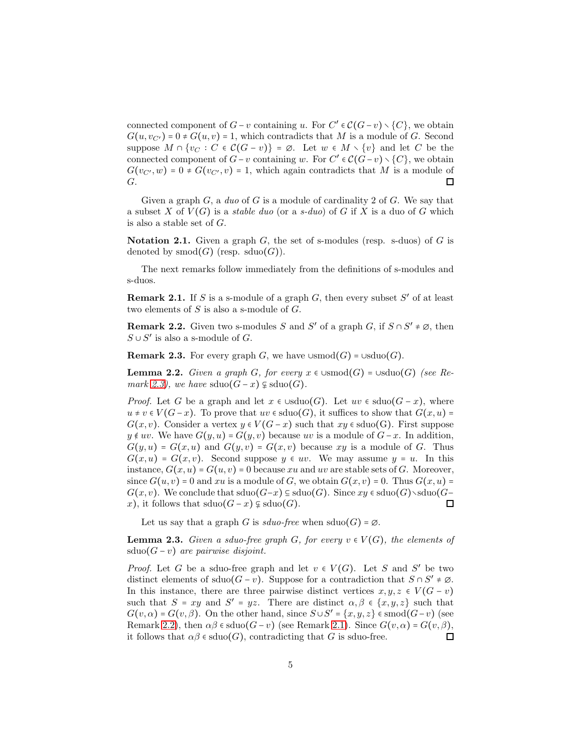connected component of  $G - v$  containing u. For  $C' \in C(G - v) \setminus \{C\}$ , we obtain  $G(u, v_{C'}) = 0 \neq G(u, v) = 1$ , which contradicts that M is a module of G. Second suppose  $M \cap \{v_C : C \in \mathcal{C}(\overline{G}-v)\} = \emptyset$ . Let  $w \in M \setminus \{v\}$  and let C be the connected component of  $G - v$  containing w. For  $C' \in \mathcal{C}(G - v) \setminus \{C\}$ , we obtain  $G(v_{C'}, w) = 0 \neq G(v_{C'}, v) = 1$ , which again contradicts that M is a module of G.  $\Box$ 

Given a graph G, a *duo* of G is a module of cardinality 2 of G. We say that a subset X of  $V(G)$  is a *stable duo* (or a *s*-duo) of G if X is a duo of G which is also a stable set of G.

**Notation 2.1.** Given a graph  $G$ , the set of s-modules (resp. s-duos) of  $G$  is denoted by  $\operatorname{smod}(G)$  (resp.  $\operatorname{sduo}(G)$ ).

The next remarks follow immediately from the definitions of s-modules and s-duos.

<span id="page-4-2"></span>**Remark 2.1.** If S is a s-module of a graph  $G$ , then every subset  $S'$  of at least two elements of  $S$  is also a s-module of  $G$ .

<span id="page-4-1"></span>**Remark 2.2.** Given two s-modules S and S' of a graph G, if  $S \cap S' \neq \emptyset$ , then  $S ∪ S'$  is also a s-module of  $G$ .

<span id="page-4-0"></span>**Remark 2.3.** For every graph G, we have  $\cup$ smod $(G)$  =  $\cup$ sduo $(G)$ .

<span id="page-4-4"></span>**Lemma 2.2.** *Given a graph G*, *for every*  $x \in \text{Usmod}(G) = \text{Usduo}(G)$  *(see Remark* [2.3\)](#page-4-0), we have  $sduo(G - x) \nsubseteq sduo(G)$ .

*Proof.* Let G be a graph and let  $x \in \cup \text{sduo}(G)$ . Let  $uv \in \text{sduo}(G - x)$ , where  $u \neq v \in V(G-x)$ . To prove that  $uv \in \text{sduo}(G)$ , it suffices to show that  $G(x, u)$  =  $G(x, v)$ . Consider a vertex  $y \in V(G - x)$  such that  $xy \in \text{sduo}(G)$ . First suppose  $y \notin uv$ . We have  $G(y, u) = G(y, v)$  because uv is a module of  $G-x$ . In addition,  $G(y, u) = G(x, u)$  and  $G(y, v) = G(x, v)$  because xy is a module of G. Thus  $G(x, u) = G(x, v)$ . Second suppose  $y \in uv$ . We may assume  $y = u$ . In this instance,  $G(x, u) = G(u, v) = 0$  because xu and uv are stable sets of G. Moreover, since  $G(u, v) = 0$  and xu is a module of G, we obtain  $G(x, v) = 0$ . Thus  $G(x, u) =$  $G(x, v)$ . We conclude that  $sduo(G-x) \subseteq sduo(G)$ . Since  $xy \in sduo(G) \setminus sduo(G \Box$ x), it follows that  $sduo(G-x) \nsubseteq sduo(G)$ .

Let us say that a graph G is  $sduo-free$  when  $sduo(G) = \emptyset$ .

<span id="page-4-3"></span>**Lemma 2.3.** *Given a sduo-free graph*  $G$ *, for every*  $v \in V(G)$ *, the elements of* sduo(G − v) *are pairwise disjoint.*

*Proof.* Let G be a sduo-free graph and let  $v \in V(G)$ . Let S and S' be two distinct elements of sduo $(G - v)$ . Suppose for a contradiction that  $S \cap S' \neq \emptyset$ . In this instance, there are three pairwise distinct vertices  $x, y, z \in V(G - v)$ such that  $S = xy$  and  $S' = yz$ . There are distinct  $\alpha, \beta \in \{x, y, z\}$  such that  $G(v, \alpha) = G(v, \beta)$ . On the other hand, since  $S \cup S' = \{x, y, z\}$   $\in \text{smooth}(G-v)$  (see Remark [2.2\)](#page-4-1), then  $\alpha\beta \in \text{sduo}(G - v)$  (see Remark [2.1\)](#page-4-2). Since  $G(v, \alpha) = G(v, \beta)$ , it follows that  $\alpha\beta \in \text{sduo}(G)$ , contradicting that G is sduo-free.  $\Box$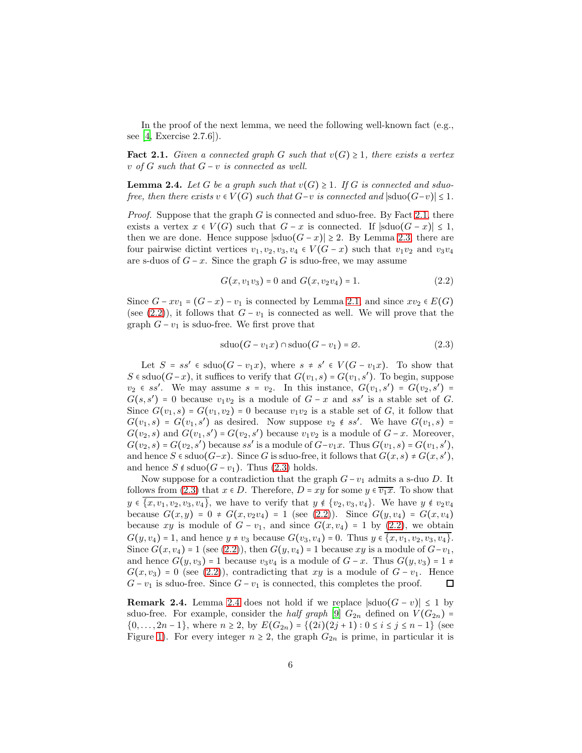In the proof of the next lemma, we need the following well-known fact  $(e.g.,)$ see  $[4,$  Exercise 2.7.6]).

<span id="page-5-0"></span>**Fact 2.1.** *Given a connected graph G such that*  $v(G) \geq 1$ *, there exists a vertex* v *of* G *such that* G − v *is connected as well.*

<span id="page-5-3"></span>**Lemma 2.4.** Let G be a graph such that  $v(G) \geq 1$ . If G is connected and sduo*free, then there exists*  $v \in V(G)$  *such that*  $G-v$  *is connected and*  $|\text{sduo}(G-v)| \leq 1$ *.* 

*Proof.* Suppose that the graph G is connected and sduo-free. By Fact [2.1,](#page-5-0) there exists a vertex  $x \in V(G)$  such that  $G - x$  is connected. If  $|\text{sduo}(G - x)| \leq 1$ , then we are done. Hence suppose  $|\text{sduo}(G - x)| \geq 2$ . By Lemma [2.3,](#page-4-3) there are four pairwise dictint vertices  $v_1, v_2, v_3, v_4 \in V(G - x)$  such that  $v_1v_2$  and  $v_3v_4$ are s-duos of  $G - x$ . Since the graph G is sduo-free, we may assume

<span id="page-5-1"></span>
$$
G(x, v_1v_3) = 0 \text{ and } G(x, v_2v_4) = 1. \tag{2.2}
$$

Since  $G - xv_1 = (G - x) - v_1$  is connected by Lemma [2.1,](#page-3-1) and since  $xv_2 \in E(G)$ (see [\(2.2\)](#page-5-1)), it follows that  $G - v_1$  is connected as well. We will prove that the graph  $G - v_1$  is sduo-free. We first prove that

<span id="page-5-2"></span>
$$
sduo(G - v_1 x) \cap sduo(G - v_1) = \emptyset.
$$
\n(2.3)

Let  $S = ss' \in \text{sduo}(G - v_1x)$ , where  $s \neq s' \in V(G - v_1x)$ . To show that S  $\in$  sduo $(G-x)$ , it suffices to verify that  $G(v_1, s) = G(v_1, s')$ . To begin, suppose  $v_2 \in ss'$ . We may assume  $s = v_2$ . In this instance,  $G(v_1, s') = G(v_2, s')$  $G(s, s') = 0$  because  $v_1v_2$  is a module of  $G - x$  and  $ss'$  is a stable set of G. Since  $G(v_1, s) = G(v_1, v_2) = 0$  because  $v_1v_2$  is a stable set of G, it follow that  $G(v_1, s) = G(v_1, s')$  as desired. Now suppose  $v_2 \notin ss'$ . We have  $G(v_1, s)$  =  $G(v_2, s)$  and  $G(v_1, s') = G(v_2, s')$  because  $v_1v_2$  is a module of  $G - x$ . Moreover,  $G(v_2, s) = G(v_2, s')$  because ss' is a module of  $G-v_1x$ . Thus  $G(v_1, s) = G(v_1, s')$ , and hence  $S \in \text{sduo}(G-x)$ . Since G is sduo-free, it follows that  $G(x, s) \neq G(x, s')$ , and hence  $S \notin \text{sduo}(G - v_1)$ . Thus [\(2.3\)](#page-5-2) holds.

Now suppose for a contradiction that the graph  $G-v_1$  admits a s-duo D. It follows from [\(2.3\)](#page-5-2) that  $x \in D$ . Therefore,  $D = xy$  for some  $y \in \overline{v_1x}$ . To show that  $y \in \{x, v_1, v_2, v_3, v_4\},\$  we have to verify that  $y \notin \{v_2, v_3, v_4\}.$  We have  $y \notin v_2v_4$ because  $G(x, y) = 0 \neq G(x, v_2v_4) = 1$  (see [\(2.2\)](#page-5-1)). Since  $G(y, v_4) = G(x, v_4)$ because xy is module of  $G - v_1$ , and since  $G(x, v_4) = 1$  by [\(2.2\)](#page-5-1), we obtain  $G(y, v_4) = 1$ , and hence  $y \neq v_3$  because  $G(v_3, v_4) = 0$ . Thus  $y \in \{x, v_1, v_2, v_3, v_4\}.$ Since  $G(x, v_4) = 1$  (see [\(2.2\)](#page-5-1)), then  $G(y, v_4) = 1$  because xy is a module of  $G-v_1$ , and hence  $G(y, v_3) = 1$  because  $v_3v_4$  is a module of  $G - x$ . Thus  $G(y, v_3) = 1 \neq$  $G(x, v_3) = 0$  (see [\(2.2\)](#page-5-1)), contradicting that xy is a module of  $G - v_1$ . Hence  $G - v_1$  is sduo-free. Since  $G - v_1$  is connected, this completes the proof.  $\Box$ 

Remark [2.4](#page-5-3). Lemma 2.4 does not hold if we replace  $|\text{sduo}(G - v)| \leq 1$  by sduo-free. For example, consider the *half graph* [\[9\]](#page-11-13)  $G_{2n}$  defined on  $V(G_{2n})$  =  $\{0,\ldots,2n-1\}$ , where  $n \geq 2$ , by  $E(G_{2n}) = \{(2i)(2j+1): 0 \leq i \leq j \leq n-1\}$  (see Figure [1\)](#page-6-0). For every integer  $n \geq 2$ , the graph  $G_{2n}$  is prime, in particular it is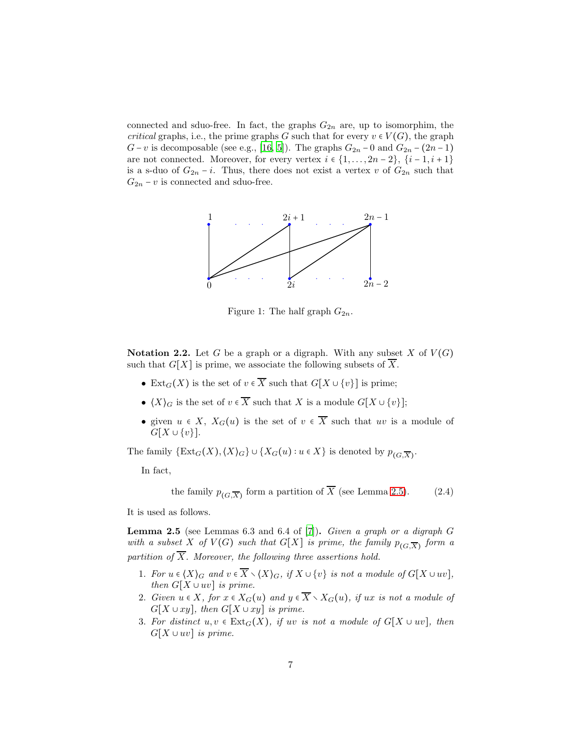connected and sduo-free. In fact, the graphs  $G_{2n}$  are, up to isomorphim, the *critical* graphs, i.e., the prime graphs G such that for every  $v \in V(G)$ , the graph  $G - v$  is decomposable (see e.g., [\[16,](#page-11-9) [5\]](#page-11-14)). The graphs  $G_{2n} - 0$  and  $G_{2n} - (2n - 1)$ are not connected. Moreover, for every vertex  $i \in \{1, \ldots, 2n-2\}, \{i-1, i+1\}$ is a s-duo of  $G_{2n} - i$ . Thus, there does not exist a vertex v of  $G_{2n}$  such that  $G_{2n} - v$  is connected and sduo-free.

<span id="page-6-0"></span>

Figure 1: The half graph  $G_{2n}$ .

<span id="page-6-3"></span>**Notation 2.2.** Let G be a graph or a digraph. With any subset X of  $V(G)$ such that  $G[X]$  is prime, we associate the following subsets of  $\overline{X}$ .

- Ext<sub>G</sub>(X) is the set of  $v \in \overline{X}$  such that  $G[X \cup \{v\}]$  is prime;
- $\langle X \rangle_G$  is the set of  $v \in \overline{X}$  such that X is a module  $G[X \cup \{v\}];$
- given  $u \in X$ ,  $X_G(u)$  is the set of  $v \in \overline{X}$  such that uv is a module of  $G[X \cup \{v\}].$

The family  $\{Ext_G(X), \langle X \rangle_G\} \cup \{X_G(u) : u \in X\}$  is denoted by  $p_{(G,\overline{X})}$ .

In fact,

<span id="page-6-2"></span>the family  $p_{(G,\overline{X})}$  form a partition of X (see Lemma [2.5\)](#page-6-1). (2.4)

It is used as follows.

<span id="page-6-1"></span>Lemma 2.5 (see Lemmas 6.3 and 6.4 of [\[7\]](#page-11-15)). *Given a graph or a digraph* G with a subset X of  $V(G)$  such that  $G[X]$  is prime, the family  $p_{(G,\overline{X})}$  form a *partition of*  $\overline{X}$ *. Moreover, the following three assertions hold.* 

- 1. *For*  $u \in \langle X \rangle_G$  *and*  $v \in \overline{X} \setminus \langle X \rangle_G$ *, if*  $X \cup \{v\}$  *is not a module of*  $G[X \cup uv]$ *, then*  $G[X \cup uv]$  *is prime.*
- 2. *Given*  $u \in X$ *, for*  $x \in X_G(u)$  *and*  $y \in \overline{X} \setminus X_G(u)$ *, if*  $ux$  *is not a module of*  $G[X \cup xy]$ *, then*  $G[X \cup xy]$  *is prime.*
- 3. For distinct  $u, v \in \text{Ext}_G(X)$ , if  $uv$  is not a module of  $G[X \cup uv]$ , then  $G[X \cup uv]$  *is prime.*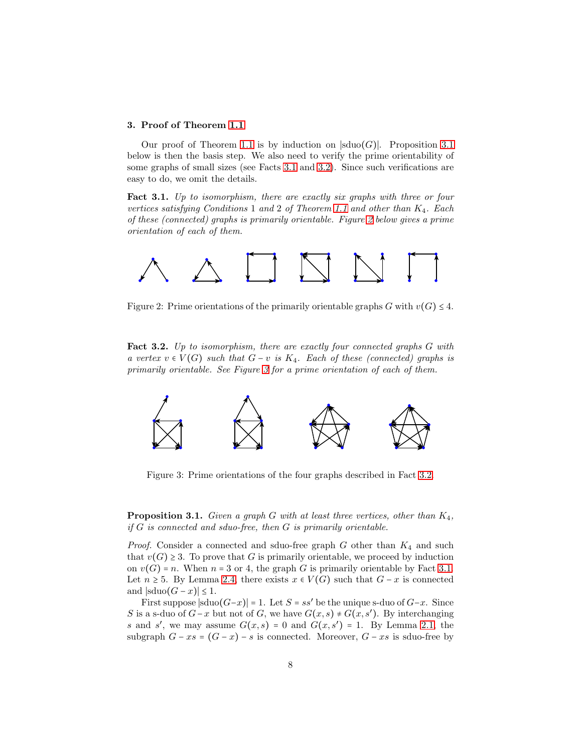## 3. Proof of Theorem [1.1](#page-3-2)

Our proof of Theorem [1.1](#page-3-2) is by induction on  $|\text{sduo}(G)|$ . Proposition [3.1](#page-7-0) below is then the basis step. We also need to verify the prime orientability of some graphs of small sizes (see Facts [3.1](#page-7-1) and [3.2\)](#page-7-2). Since such verifications are easy to do, we omit the details.

<span id="page-7-1"></span>Fact 3.1. *Up to isomorphism, there are exactly six graphs with three or four vertices satisfying Conditions* 1 *and* 2 *of Theorem [1.1](#page-3-2) and other than* K4*. Each of these (connected) graphs is primarily orientable. Figure [2](#page-7-3) below gives a prime orientation of each of them.*

<span id="page-7-3"></span>

Figure 2: Prime orientations of the primarily orientable graphs G with  $v(G) \leq 4$ .

<span id="page-7-2"></span>Fact 3.2. *Up to isomorphism, there are exactly four connected graphs* G *with a vertex* v ∈ V (G) *such that* G − v *is* K4*. Each of these (connected) graphs is primarily orientable. See Figure [3](#page-7-4) for a prime orientation of each of them.*

<span id="page-7-4"></span>

Figure 3: Prime orientations of the four graphs described in Fact [3.2.](#page-7-2)

<span id="page-7-0"></span>Proposition 3.1. *Given a graph* G *with at least three vertices, other than* K4*, if* G *is connected and sduo-free, then* G *is primarily orientable.*

*Proof.* Consider a connected and sduo-free graph  $G$  other than  $K_4$  and such that  $v(G) \geq 3$ . To prove that G is primarily orientable, we proceed by induction on  $v(G) = n$ . When  $n = 3$  or 4, the graph G is primarily orientable by Fact [3.1.](#page-7-1) Let  $n \geq 5$ . By Lemma [2.4,](#page-5-3) there exists  $x \in V(G)$  such that  $G - x$  is connected and  $|\text{sduo}(G - x)| \leq 1$ .

First suppose  $|\text{sdu}(G-x)| = 1$ . Let  $S = ss'$  be the unique s-duo of  $G-x$ . Since S is a s-duo of  $G-x$  but not of G, we have  $G(x, s) \neq G(x, s')$ . By interchanging s and s', we may assume  $G(x, s) = 0$  and  $G(x, s') = 1$ . By Lemma [2.1,](#page-3-1) the subgraph  $G - xs = (G - x) - s$  is connected. Moreover,  $G - xs$  is sduo-free by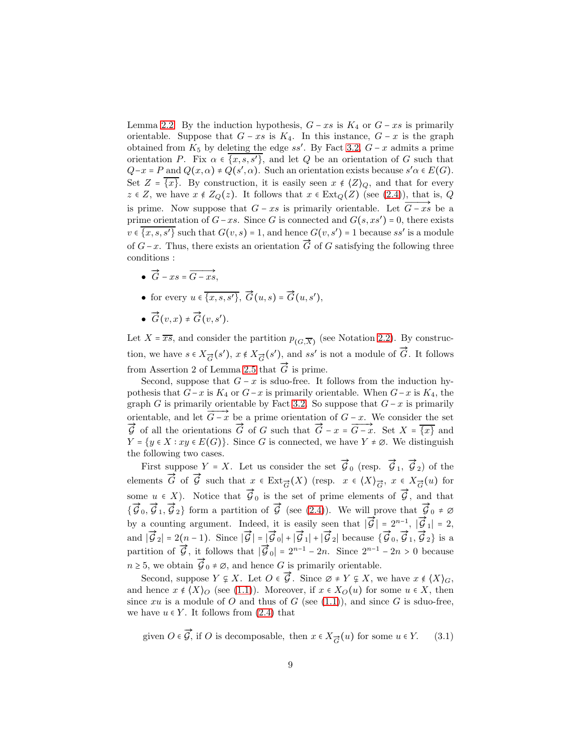Lemma [2.2.](#page-4-4) By the induction hypothesis,  $G - xs$  is  $K_4$  or  $G - xs$  is primarily orientable. Suppose that  $G - xs$  is  $K_4$ . In this instance,  $G - x$  is the graph obtained from  $K_5$  by deleting the edge ss'. By Fact [3.2,](#page-7-2)  $G-x$  admits a prime orientation P. Fix  $\alpha \in \{x, s, s'\}$ , and let Q be an orientation of G such that  $Q-x = P$  and  $Q(x, \alpha) \neq Q(s', \alpha)$ . Such an orientation exists because  $s' \alpha \in E(G)$ . Set  $Z = \overline{\{x\}}$ . By construction, it is easily seen  $x \notin \langle Z \rangle_Q$ , and that for every  $z \in Z$ , we have  $x \notin Z_Q(z)$ . It follows that  $x \in \text{Ext}_Q(Z)$  (see [\(2.4\)](#page-6-2)), that is, Q is prime. Now suppose that  $G - xs$  is primarily orientable. Let  $\overrightarrow{G - xs}$  be a prime orientation of  $G-xs$ . Since G is connected and  $G(s, xs') = 0$ , there exists  $v \in \{x, s, s'\}$  such that  $G(v, s) = 1$ , and hence  $G(v, s') = 1$  because ss' is a module of  $G-x$ . Thus, there exists an orientation  $\vec{G}$  of G satisfying the following three conditions :

- $\overrightarrow{G} xs = \overrightarrow{G xs},$
- for every  $u \in \overline{\{x, s, s'\}, \overrightarrow{G}(u, s) = \overrightarrow{G}(u, s')},$
- $\vec{G}(v,x) \neq \vec{G}(v,s')$ .

Let  $X = \overline{x s}$ , and consider the partition  $p_{(G,\overline{X})}$  (see Notation [2.2\)](#page-6-3). By construction, we have  $s \in X_{\vec{G}}(s')$ ,  $x \notin X_{\vec{G}}(s')$ , and  $ss'$  is not a module of  $\vec{G}$ . It follows from Assertion 2 of Lemma [2.5](#page-6-1) that  $\vec{G}$  is prime.

Second, suppose that  $G - x$  is sduo-free. It follows from the induction hypothesis that  $G-x$  is  $K_4$  or  $G-x$  is primarily orientable. When  $G-x$  is  $K_4$ , the graph G is primarily orientable by Fact [3.2.](#page-7-2) So suppose that  $G - x$  is primarily orientable, and let  $\overrightarrow{G-x}$  be a prime orientation of  $G-x$ . We consider the set  $\vec{G}$  of all the orientations  $\vec{G}$  of G such that  $\vec{G} - x = \vec{G} - x$ . Set  $X = \overline{\{x\}}$  and  $Y = \{y \in X : xy \in E(G)\}.$  Since G is connected, we have  $Y \neq \emptyset$ . We distinguish the following two cases.

First suppose  $Y = X$ . Let us consider the set  $\vec{\mathcal{G}}_0$  (resp.  $\vec{\mathcal{G}}_1$ ,  $\vec{\mathcal{G}}_2$ ) of the elements  $\vec{G}$  of  $\vec{G}$  such that  $x \in \text{Ext}_{\vec{G}}(X)$  (resp.  $x \in \langle X \rangle_{\vec{G}}, x \in X_{\vec{G}}(u)$  for some  $u \in X$ ). Notice that  $\overline{\mathcal{G}}_0$  is the set of prime elements of  $\overline{\mathcal{G}}$ , and that  ${\{\vec{\mathcal{G}}_0, \vec{\mathcal{G}}_1, \vec{\mathcal{G}}_2\}}$  form a partition of  $\vec{\mathcal{G}}$  (see [\(2.4\)](#page-6-2)). We will prove that  $\vec{\mathcal{G}}_0 \neq \emptyset$ by a counting argument. Indeed, it is easily seen that  $|\vec{\mathcal{G}}| = 2^{n-1}$ ,  $|\vec{\mathcal{G}}_1| = 2$ ,  $\overline{G}_2$ | = 2(n − 1). Since  $|\vec{G}| = |\vec{G}_0| + |\vec{G}_1| + |\vec{G}_2|$  because  $\{\vec{G}_0, \vec{G}_1, \vec{G}_2\}$  is a partition of  $\vec{G}$ , it follows that  $|\vec{G}_0| = 2^{n-1} - 2n$ . Since  $2^{n-1} - 2n > 0$  because  $n \geq 5$ , we obtain  $\overline{\mathcal{G}}_0 \neq \emptyset$ , and hence G is primarily orientable.

Second, suppose  $Y \not\subseteq X$ . Let  $O \in \vec{G}$ . Since  $\emptyset \neq Y \not\subseteq X$ , we have  $x \notin \langle X \rangle_G$ , and hence  $x \notin \langle X \rangle_O$  (see [\(1.1\)](#page-2-0)). Moreover, if  $x \in X_O(u)$  for some  $u \in X$ , then since  $xu$  is a module of O and thus of G (see [\(1.1\)](#page-2-0)), and since G is sduo-free, we have  $u \in Y$ . It follows from [\(2.4\)](#page-6-2) that

<span id="page-8-0"></span>given  $O \in \vec{\mathcal{G}}$ , if  $O$  is decomposable, then  $x \in X_{\vec{G}}(u)$  for some  $u \in Y$ . (3.1)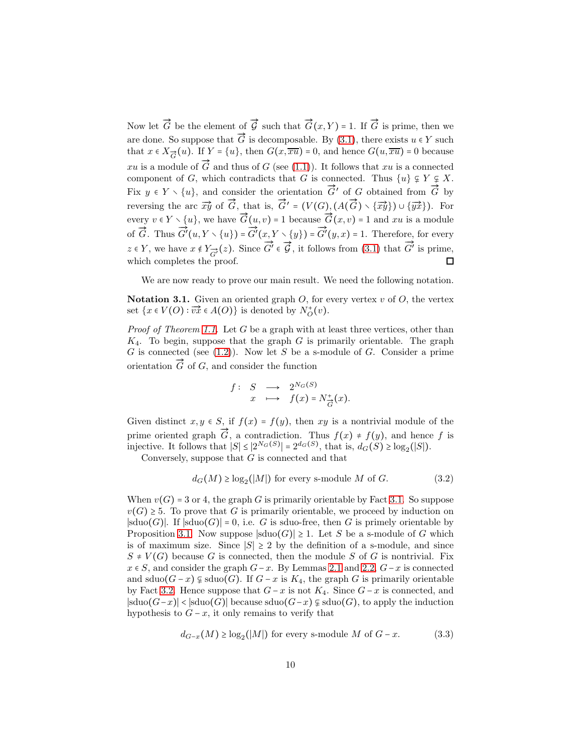Now let  $\vec{G}$  be the element of  $\vec{G}$  such that  $\vec{G}(x, Y) = 1$ . If  $\vec{G}$  is prime, then we are done. So suppose that  $\vec{G}$  is decomposable. By [\(3.1\)](#page-8-0), there exists  $u \in Y$  such that  $x \in X_{\vec{G}}(u)$ . If  $Y = \{u\}$ , then  $G(x,\overline{xu}) = 0$ , and hence  $G(u,\overline{xu}) = 0$  because xu is a module of  $\vec{G}$  and thus of G (see [\(1.1\)](#page-2-0)). It follows that xu is a connected component of G, which contradicts that G is connected. Thus  $\{u\} \subsetneq Y \subsetneq X$ . Fix  $y \in Y \setminus \{u\}$ , and consider the orientation  $\overrightarrow{G}'$  of G obtained from  $\overrightarrow{G}$  by rix  $y \in T \setminus \{u_f\}$ , and consider the orientation of of obtained from  $\Theta$  by<br>reversing the arc  $\overrightarrow{xy}$  of  $\overrightarrow{G}$ , that is,  $\overrightarrow{G}' = (V(G), (A(\overrightarrow{G}) \setminus {\overrightarrow{xy}}) \cup {\overrightarrow{yx}})$ . For every  $v \in Y \setminus \{u\}$ , we have  $\overrightarrow{G}(u, v) = 1$  because  $\overrightarrow{G}(x, v) = 1$  and xu is a module of  $\overrightarrow{G}$ . Thus  $\overrightarrow{G}'$  $\rightarrow$ Ð→  $G'(u,Y\smallsetminus\{u\})$  =  $G'(x,Y\smallsetminus\{y\})$  =  $G'(y, x) = 1$ . Therefore, for every  $\stackrel{\iota}{\rightarrow}$  $G' \in \overrightarrow{G}$ , it follows from [\(3.1\)](#page-8-0) that  $\overrightarrow{G'}$  $G'$  is prime,  $z \in Y$ , we have  $x \notin Y_{\overrightarrow{G'}}(z)$ . Since which completes the proof.  $\Box$ 

We are now ready to prove our main result. We need the following notation.

**Notation 3.1.** Given an oriented graph  $O$ , for every vertex  $v$  of  $O$ , the vertex set  $\{x \in V(O) : \overrightarrow{vx} \in A(O)\}$  is denoted by  $N_O^+(v)$ .

*Proof of Theorem [1.1.](#page-3-2)* Let G be a graph with at least three vertices, other than  $K_4$ . To begin, suppose that the graph G is primarily orientable. The graph G is connected (see  $(1.2)$ ). Now let S be a s-module of G. Consider a prime or is connected (see (1.2)). From let B be a s<br>orientation  $\vec{G}$  of G, and consider the function

$$
f: S \longrightarrow 2^{N_G(S)}
$$
  
 $x \longmapsto f(x) = N_{\overrightarrow{G}}^+(x)$ .

Given distinct  $x, y \in S$ , if  $f(x) = f(y)$ , then xy is a nontrivial module of the prime oriented graph  $\overline{G}$ , a contradiction. Thus  $f(x) \neq f(y)$ , and hence f is injective. It follows that  $|S| \leq |2^{N_G(S)}| = 2^{d_G(S)}$ , that is,  $d_G(S) \geq \log_2(|S|)$ .

Conversely, suppose that G is connected and that

<span id="page-9-0"></span>
$$
d_G(M) \ge \log_2(|M|) \text{ for every s-module } M \text{ of } G. \tag{3.2}
$$

When  $v(G) = 3$  or 4, the graph G is primarily orientable by Fact [3.1.](#page-7-1) So suppose  $v(G) \geq 5$ . To prove that G is primarily orientable, we proceed by induction on  $|\text{sduo}(G)|$ . If  $|\text{sduo}(G)| = 0$ , i.e. G is sduo-free, then G is primely orientable by Proposition [3.1.](#page-7-0) Now suppose  $|\text{sduo}(G)| \geq 1$ . Let S be a s-module of G which is of maximum size. Since  $|S| \geq 2$  by the definition of a s-module, and since  $S \neq V(G)$  because G is connected, then the module S of G is nontrivial. Fix  $x \in S$ , and consider the graph  $G-x$ . By Lemmas [2.1](#page-3-1) and [2.2,](#page-4-4)  $G-x$  is connected and sduo $(G-x) \subsetneq$  sduo $(G)$ . If  $G-x$  is  $K_4$ , the graph G is primarily orientable by Fact [3.2.](#page-7-2) Hence suppose that  $G - x$  is not  $K_4$ . Since  $G - x$  is connected, and  $|\text{sduo}(G-x)| < |\text{sduo}(G)|$  because  $\text{sduo}(G-x) \not\subseteq \text{sduo}(G)$ , to apply the induction hypothesis to  $G - x$ , it only remains to verify that

<span id="page-9-1"></span>
$$
d_{G-x}(M) \ge \log_2(|M|)
$$
 for every s-module M of  $G-x$ . (3.3)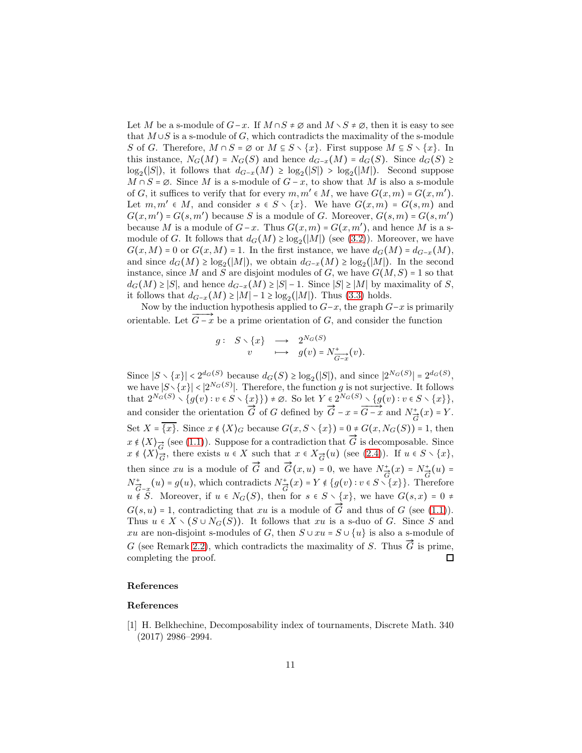Let M be a s-module of  $G-x$ . If  $M \cap S \neq \emptyset$  and  $M \setminus S \neq \emptyset$ , then it is easy to see that  $M \cup S$  is a s-module of G, which contradicts the maximality of the s-module S of G. Therefore,  $M \cap S = \emptyset$  or  $M \subseteq S \setminus \{x\}$ . First suppose  $M \subseteq S \setminus \{x\}$ . In this instance,  $N_G(M) = N_G(S)$  and hence  $d_{G-x}(M) = d_G(S)$ . Since  $d_G(S) \ge$  $\log_2(|S|)$ , it follows that  $d_{G-x}(M) \ge \log_2(|S|) > \log_2(|M|)$ . Second suppose  $M \cap S = \emptyset$ . Since M is a s-module of  $G - x$ , to show that M is also a s-module of G, it suffices to verify that for every  $m, m' \in M$ , we have  $G(x, m) = G(x, m')$ . Let  $m, m' \in M$ , and consider  $s \in S \setminus \{x\}$ . We have  $G(x, m) = G(s, m)$  and  $G(x, m') = G(s, m')$  because S is a module of G. Moreover,  $G(s, m) = G(s, m')$ because M is a module of  $G-x$ . Thus  $G(x, m) = G(x, m')$ , and hence M is a smodule of G. It follows that  $d_G(M) \ge \log_2(|M|)$  (see [\(3.2\)](#page-9-0)). Moreover, we have  $G(x,M) = 0$  or  $G(x,M) = 1$ . In the first instance, we have  $d_G(M) = d_{G-x}(M)$ , and since  $d_G(M) \ge \log_2(|M|)$ , we obtain  $d_{G-x}(M) \ge \log_2(|M|)$ . In the second instance, since M and S are disjoint modules of G, we have  $G(M, S) = 1$  so that  $d_G(M) \geq |S|$ , and hence  $d_{G-x}(M) \geq |S|-1$ . Since  $|S| \geq |M|$  by maximality of S, it follows that  $d_{G-x}(M) \ge |M|-1 \ge \log_2(|M|)$ . Thus [\(3.3\)](#page-9-1) holds.

Now by the induction hypothesis applied to  $G-x$ , the graph  $G-x$  is primarily orientable. Let  $\overrightarrow{G-x}$  be a prime orientation of G, and consider the function

$$
\begin{array}{cccc} g: & S \setminus \{x\} & \longrightarrow & 2^{N_G(S)} \\ & v & \longmapsto & g(v) = N_{\overline{G-x}}^+(v). \end{array}
$$

Since  $|S \setminus \{x\}| < 2^{d_G(S)}$  because  $d_G(S) \ge \log_2(|S|)$ , and since  $|2^{N_G(S)}| = 2^{d_G(S)}$ , we have  $|S \setminus \{x\}| < |2^{N_G(S)}|$ . Therefore, the function g is not surjective. It follows that  $2^{N_G(S)} \setminus \{g(v) : v \in S \setminus \{x\}\}\}\neq \emptyset$ . So let  $Y \in 2^{N_G(S)} \setminus \{g(v) : v \in S \setminus \{x\}\}\$ ,<br>and consider the orientation  $\overrightarrow{G}$  of  $G$  defined by  $\overrightarrow{G} - x = \overrightarrow{G-x}$  and  $N_{\overrightarrow{G}}^+(x) = Y$ . Set  $X = \{x\}$ . Since  $x \notin \{X\}_G$  because  $G(x, S \setminus \{x\}) = 0 \neq G(x, N_G(S)) = 1$ , then  $x \notin \{X\}_{\overrightarrow{G}}$  (see [\(1.1\)](#page-2-0)). Suppose for a contradiction that  $\overrightarrow{G}$  is decomposable. Since  $x \notin \langle X \rangle_{\overrightarrow{G}}$ , there exists  $u \in X$  such that  $x \in X_{\overrightarrow{G}}(u)$  (see [\(2.4\)](#page-6-2)). If  $u \in S \setminus \{x\}$ , then since xu is a module of  $\vec{G}$  and  $\vec{G}(x, u) = 0$ , we have  $N_{\vec{G}}^+(x) = N_{\vec{G}}^+(u) =$  $N_{\vec{G}-x}^+(u) = g(u)$ , which contradicts  $N_{\vec{G}}^+(x) = Y \notin \{g(v) : v \in S \setminus \{x\}\}\.$  Therefore  $u \notin S$ . Moreover, if  $u \in N_G(S)$ , then for  $s \in S \setminus \{x\}$ , we have  $G(s,x) = 0 \neq$  $G(s, u) = 1$ , contradicting that xu is a module of  $\overrightarrow{G}$  and thus of G (see [\(1.1\)](#page-2-0)). Thus  $u \in X \setminus (S \cup N_G(S))$ . It follows that xu is a s-duo of G. Since S and xu are non-disjoint s-modules of G, then  $S \cup xu = S \cup \{u\}$  is also a s-module of G (see Remark [2.2\)](#page-4-1), which contradicts the maximality of S. Thus  $\vec{G}$  is prime, completing the proof.  $\Box$ 

#### References

#### References

<span id="page-10-0"></span>[1] H. Belkhechine, Decomposability index of tournaments, Discrete Math. 340 (2017) 2986–2994.